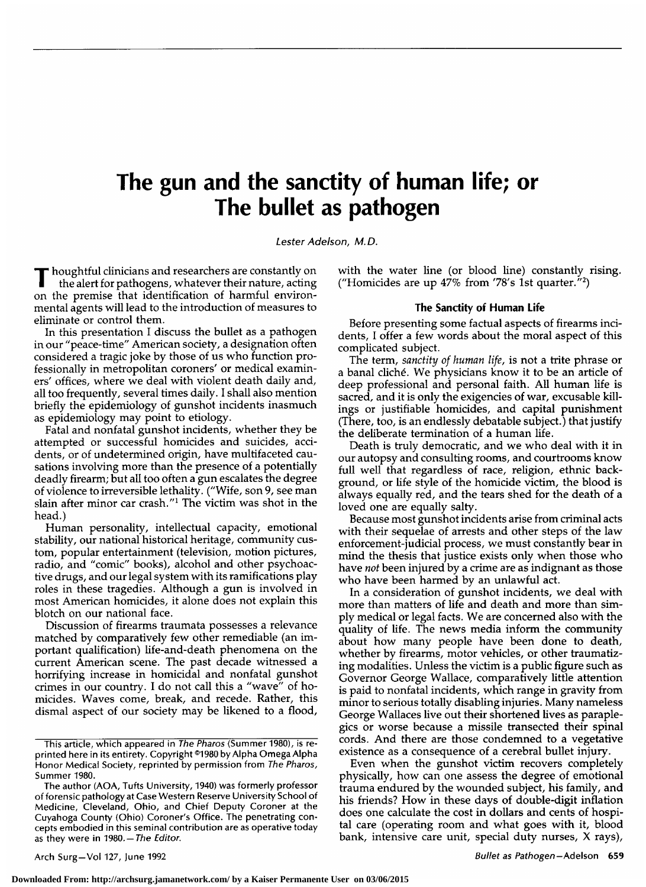# The gun and the sanctity of human life; or The bullet as pathogen

Lester Adelson, M.D.

thoughtful clinicians and researchers are constantly on the alert for pathogens, whatever their nature, acting on the premise that identification of harmful environmental agents will lead to the introduction of measures to eliminate or control them.

In this presentation I discuss the bullet as <sup>a</sup> pathogen in our"peace-time" American society, <sup>a</sup> designation often considered a tragic joke by those of us who function professionally in metropolitan coroners' or medical examiners' offices, where we deal with violent death daily and, all too frequently, several times daily. I shall also mention briefly the epidemiology of gunshot incidents inasmuch as epidemiology may point to etiology.

Fatal and nonfatal gunshot incidents, whether they be attempted or successful homicides and suicides, accidents, or of undetermined origin, have multifaceted causations involving more than the presence of <sup>a</sup> potentially deadly firearm; but all too often <sup>a</sup> gun escalates the degree of violence to irreversible lethality. ("Wife, son 9, see man slain after minor car crash."1 The victim was shot in the head.)

Human personality, intellectual capacity, emotional stability, our national historical heritage, community custom, popular entertainment (television, motion pictures, radio, and "comic" books), alcohol and other psychoactive drugs, and our legal system with its ramifications play roles in these tragedies. Although <sup>a</sup> gun is involved in most American homicides, it alone does not explain this blotch on our national face.

Discussion of firearms traumata possesses <sup>a</sup> relevance matched by comparatively few other remediable (an im portant qualification) life-and-death phenomena on the current American scene. The past decade witnessed <sup>a</sup> horrifying increase in homicidal and nonfatal gunshot crimes in our country. I do not call this a "wave" of homicides. Waves come, break, and recede. Rather, this dismal aspect of our society may be likened to <sup>a</sup> flood, with the water line (or blood line) constantly rising. ("Homicides are up  $47\%$  from '78's 1st quarter."<sup>2</sup>)

#### The Sanctity of Human Life

Before presenting some factual aspects of firearms incidents, <sup>I</sup> offer <sup>a</sup> few words about the moral aspect of this complicated subject.

The term, sanctity of human life, is not <sup>a</sup> trite phrase or <sup>a</sup> banal cliché. We physicians know it to be an article of deep professional and personal faith. All human life is sacred, and it is only the exigencies of war, excusable killings or justifiable homicides, and capital punishment (There, too, is an endlessly debatable subject.) that justify the deliberate termination of <sup>a</sup> human life.

Death is truly democratic, and we who deal with it in our autopsy and consulting rooms, and courtrooms know full well that regardless of race, religion, ethnic background, or life style of the homicide victim, the blood is always equally red, and the tears shed for the death of <sup>a</sup> loved one are equally salty.

Because most gunshot incidents arise from criminal acts with their sequelae of arrests and other steps of the law enforcement-judicial process, we must constantly bear in mind the thesis that justice exists only when those who have *not* been injured by a crime are as indignant as those who have been harmed by an unlawful act.

In <sup>a</sup> consideration of gunshot incidents, we deal with more than matters of life and death and more than sim ply medical or legal facts. We are concerned also with the quality of life. The news media inform the community about how many people have been done to death, whether by firearms, motor vehicles, or other traumatizing modalities. Unless the victim is <sup>a</sup> public figure such as Governor George Wallace, comparatively little attention is paid to nonfatal incidents, which range in gravity from minor to serious totally disabling injuries. Many nameless George Wallaces live out their shortened lives as paraplegics or worse because <sup>a</sup> missile transected their spinal cords. And there are those condemned to <sup>a</sup> vegetative existence as a consequence of <sup>a</sup> cerebral bullet injury.

Even when the gunshot victim recovers completely physically, how can one assess the degree of emotional trauma endured by the wounded subject, his family, and his friends? How in these days of double-digit inflation does one calculate the cost in dollars and cents of hospital care (operating room and what goes with it, blood bank, intensive care unit, special duty nurses, X rays),

Arch Surg-Vol 127, June 1992

This article, which appeared in The Pharos (Summer 1980), is reprinted here in its entirety. Copyright @1980 by Alpha Omega Alpha Honor Medical Society, reprinted by permission from The Pharos, Summer 1980.

The author (AOA, Tufts University, 1940) was formerly professor of forensic pathology at Case Western Reserve University School of Medicine, Cleveland, Ohio, and Chief Deputy Coroner at the Cuyahoga County (Ohio) Coroner's Office. The penetrating concepts embodied in this seminal contribution are as operative today as they were in  $1980. -$  The Editor.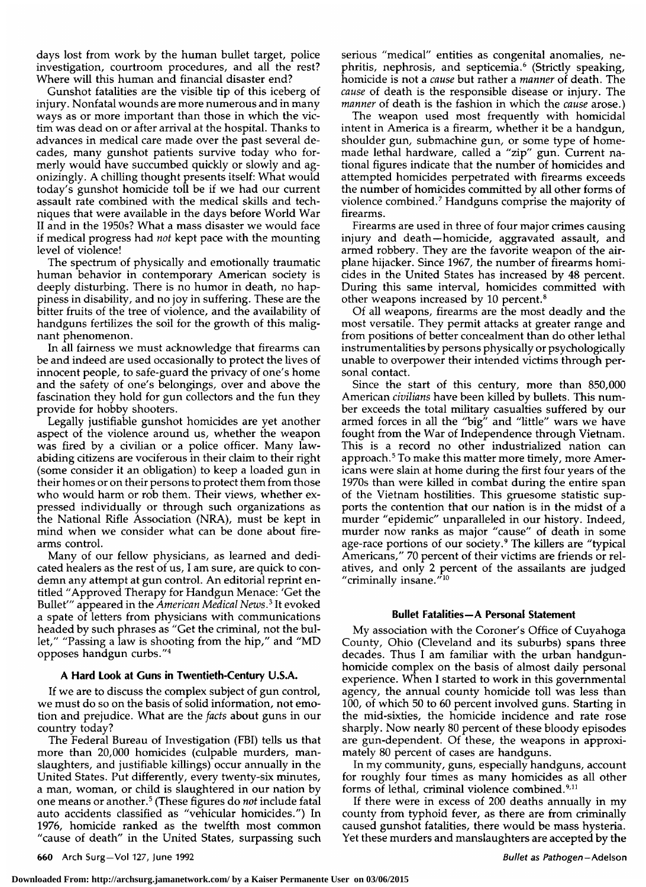days lost from work by the human bullet target, police investigation, courtroom procedures, and all the rest? Where will this human and financial disaster end?

Gunshot fatalities are the visible tip of this iceberg of injury. Nonfatal wounds are more numerous and in many ways as or more important than those in which the victim was dead on or after arrival at the hospital. Thanks to advances in medical care made over the past several decades, many gunshot patients survive today who formerly would have succumbed quickly or slowly and agonizingly. A chilling thought presents itself: What would today's gunshot homicide toll be if we had our current assault rate combined with the medical skills and techniques that were available in the days before World War II and in the 1950s? What <sup>a</sup> mass disaster we would face if medical progress had not kept pace with the mounting level of violence!

The spectrum of physically and emotionally traumatic human behavior in contemporary American society is deeply disturbing. There is no humor in death, no happiness in disability, and no joy in suffering. These are the bitter fruits of the tree of violence, and the availability of handguns fertilizes the soil for the growth of this malignant phenomenon.

In all fairness we must acknowledge that firearms can be and indeed are used occasionally to protect the lives of innocent people, to safe-guard the privacy of one's home and the safety of one's belongings, over and above the fascination they hold for gun collectors and the fun they provide for hobby shooters.

Legally justifiable gunshot homicides are yet another aspect of the violence around us, whether the weapon was fired by <sup>a</sup> civilian or <sup>a</sup> police officer. Many lawabiding citizens are vociferous in their claim to their right (some consider it an obligation) to keep <sup>a</sup> loaded gun in their homes or on their persons to protect them from those who would harm or rob them. Their views, whether expressed individually or through such organizations as the National Rifle Association (NRA), must be kept in mind when we consider what can be done about firearms control.

Many of our fellow physicians, as learned and dedicated healers as the rest of us, I am sure, are quick to condemn any attempt at gun control. An editorial reprint entitled "Approved Therapy for Handgun Menace: 'Get the Bullet''' appeared in the American Medical News.<sup>3</sup> It evoked <sup>a</sup> spate of letters from physicians with communications headed by such phrases as "Get the criminal, not the bullet," "Passing <sup>a</sup> law is shooting from the hip," and "MD opposes handgun curbs."4

### A Hard Look at Guns in Twentieth-Century U.S.A.

If we are to discuss the complex subject of gun control, we must do so on the basis of solid information, not emotion and prejudice. What are the facts about guns in our country today?

The Federal Bureau of Investigation (FBI) tells us that more than 20,000 homicides (culpable murders, manslaughters, and justifiable killings) occur annually in the United States. Put differently, every twenty-six minutes, <sup>a</sup> man, woman, or child is slaughtered in our nation by one means or another.<sup>5</sup> (These figures do *not* include fatal auto accidents classified as "vehicular homicides.") In 1976, homicide ranked as the twelfth most common "cause of death" in the United States, surpassing such

serious "medical" entities as congenital anomalies, nephritis, nephrosis, and septicemia.<sup>6</sup> (Strictly speaking, homicide is not <sup>a</sup> cause but rather a manner of death. The cause of death is the responsible disease or injury. The manner of death is the fashion in which the cause arose.)

The weapon used most frequently with homicidal intent in America is <sup>a</sup> firearm, whether it be <sup>a</sup> handgun, shoulder gun, submachine gun, or some type of homemade lethal hardware, called <sup>a</sup> "zip" gun. Current na tional figures indicate that the number of homicides and attempted homicides perpetrated with firearms exceeds the number of homicides committed by all other forms of violence combined.7 Handguns comprise the majority of firearms.

Firearms are used in three of four major crimes causing injury and death—homicide, aggravated assault, and armed robbery. They are the favorite weapon of the airplane hijacker. Since 1967, the number of firearms homicides in the United States has increased by <sup>48</sup> percent. During this same interval, homicides committed with other weapons increased by <sup>10</sup> percent.8

Of all weapons, firearms are the most deadly and the most versatile. They permit attacks at greater range and from positions of better concealment than do other lethal instrumentalities by persons physically or psychologically unable to overpower their intended victims through per-<br>sonal contact.

Since the start of this century, more than 850,000 American civilians have been killed by bullets. This number exceeds the total military casualties suffered by our armed forces in all the "big" and "little" wars we have fought from the War of Independence through Vietnam. This is <sup>a</sup> record no other industrialized nation can approach. $5$  To make this matter more timely, more Americans were slain at home during the first four years of the 1970s than were killed in combat during the entire span of the Vietnam hostilities. This gruesome statistic supports the contention that our nation is in the midst of <sup>a</sup> murder "epidemic" unparalleled in our history. Indeed, murder now ranks as major "cause" of death in some age-race portions of our society.9 The killers are "typical Americans," 70 percent of their victims are friends or relatives, and only <sup>2</sup> percent of the assailants are judged "criminally insane."10

### Bullet Fatalities—A Personal Statement

My association with the Coroner's Office of Cuyahoga County, Ohio (Cleveland and its suburbs) spans three decades. Thus <sup>I</sup> am familiar with the urban handgunhomicide complex on the basis of almost daily personal experience. When I started to work in this governmental agency, the annual county homicide toll was less than 100, of which <sup>50</sup> to <sup>60</sup> percent involved guns. Starting in the mid-sixties, the homicide incidence and rate rose sharply. Now nearly <sup>80</sup> percent of these bloody episodes are gun-dependent. Of these, the weapons in approximately <sup>80</sup> percent of cases are handguns.

In my community, guns, especially handguns, account for roughly four times as many homicides as all other forms of lethal, criminal violence combined.<sup>9,11</sup>

If there were in excess of <sup>200</sup> deaths annually in my county from typhoid fever, as there are from criminally caused gunshot fatalities, there would be mass hysteria. Yet these murders and manslaughters are accepted by the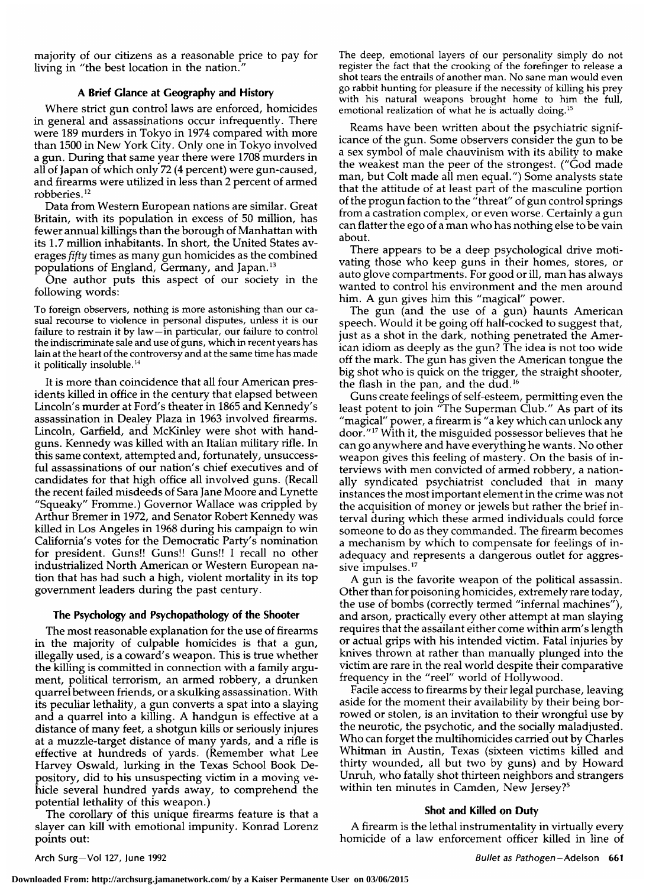majority of our citizens as <sup>a</sup> reasonable price to pay for living in "the best location in the nation."

# A Brief Glance at Geography and History

Where strict gun control laws are enforced, homicides in general and assassinations occur infrequently. There were <sup>189</sup> murders in Tokyo in <sup>1974</sup> compared with more than <sup>1500</sup> in New York City. Only one in Tokyo involved a gun. During that same year there were <sup>1708</sup> murders in all of Japan of which only <sup>72</sup> (4 percent) were gun-caused, and firearms were utilized in less than <sup>2</sup> percent of armed robberies.12

Data from Western European nations are similar. Great Britain, with its population in excess of <sup>50</sup> million, has fewer annual killings than the borough of Manhattan with its 1.7 million inhabitants. In short, the United States averages fifty times as many gun homicides as the combined populations of England, Germany, and Japan.13

One author puts this aspect of our society in the following words:

To foreign observers, nothing is more astonishing than our casual recourse to violence in personal disputes, unless it is our failure to restrain it by law—in particular, our failure to control the indiscriminate sale and use of guns, which in recent years has lain at the heart of the controversy and at the same time has made it politically insoluble.<sup>14</sup>

It is more than coincidence that all four American presidents killed in office in the century that elapsed between Lincoln's murder at Ford's theater in <sup>1865</sup> and Kennedy's assassination in Dealey Plaza in <sup>1963</sup> involved firearms. Lincoln, Garfield, and McKinley were shot with handguns. Kennedy was killed with an Italian military rifle. In this same context, attempted and, fortunately, unsuccessful assassinations of our nation's chief executives and of candidates for that high office all involved guns. (Recall the recent failed misdeeds of Sara Jane Moore and Lynette "Squeaky" Fromme.) Governor Wallace was crippled by Arthur Bremer in 1972, and Senator Robert Kennedy was killed in Los Angeles in <sup>1968</sup> during his campaign to win California's votes for the Democratic Party's nomination for president. Guns!! Guns!! Guns!! <sup>I</sup> recall no other industrialized North American or Western European nation that has had such <sup>a</sup> high, violent mortality in its top government leaders during the past century.

# The Psychology and Psychopathology of the Shooter

The most reasonable explanation for the use of firearms in the majority of culpable homicides is that <sup>a</sup> gun, illegally used, is <sup>a</sup> coward's weapon. This is true whether the killing is committed in connection with a family argument, political terrorism, an armed robbery, <sup>a</sup> drunken quarrel between friends, or <sup>a</sup> skulking assassination. With its peculiar lethality, <sup>a</sup> gun converts <sup>a</sup> spat into <sup>a</sup> slaying and <sup>a</sup> quarrel into <sup>a</sup> killing. A handgun is effective at <sup>a</sup> distance of many feet, <sup>a</sup> shotgun kills or seriously injures at <sup>a</sup> muzzle-target distance of many yards, and <sup>a</sup> rifle is effective at hundreds of yards. (Remember what Lee Harvey Oswald, lurking in the Texas School Book De pository, did to his unsuspecting victim in a moving vehicle several hundred yards away, to comprehend the potential lethality of this weapon.)

The corollary of this unique firearms feature is that <sup>a</sup> slayer can kill with emotional impunity. Konrad Lorenz points out:

The deep, emotional layers of our personality simply do not register the fact that the crooking of the forefinger to release <sup>a</sup> shot tears the entrails of another man. No sane man would even go rabbit hunting for pleasure if the necessity of killing his prey with his natural weapons brought home to him the full, emotional realization of what he is actually doing.<sup>15</sup>

Reams have been written about the psychiatric significance of the gun. Some observers consider the gun to be <sup>a</sup> sex symbol of male chauvinism with its ability to make the weakest man the peer of the strongest. ("God made man, but Colt made all men equal.") Some analysts state that the attitude of at least part of the masculine portion of the progun faction to the "threat" of gun control springs from <sup>a</sup> castration complex, or even worse. Certainly <sup>a</sup> gun can flatter the ego of <sup>a</sup> man who has nothing else to be vain about.

There appears to be a deep psychological drive motivating those who keep guns in their homes, stores, or auto glove compartments. For good or ill, man has always wanted to control his environment and the men around him. A gun gives him this "magical" power.

The gun (and the use of a gun) haunts American speech. Would it be going off half-cocked to suggest that, just as a shot in the dark, nothing penetrated the American idiom as deeply as the gun? The idea is not too wide off the mark. The gun has given the American tongue the big shot who is quick on the trigger, the straight shooter, the flash in the pan, and the dud.<sup>16</sup>

Guns create feelings of self-esteem, permitting even the least potent to join "The Superman Club." As part of its "magical" power, a firearm is "a key which can unlock any door."<sup>17</sup> With it, the misguided possessor believes that he can go anywhere and have everything he wants. No other weapon gives this feeling of mastery. On the basis of interviews with men convicted of armed robbery, a nationally syndicated psychiatrist concluded that in many instances the most important element in the crime was not the acquisition of money or jewels but rather the brief interval during which these armed individuals could force someone to do as they commanded. The firearm becomes a mechanism by which to compensate for feelings of inadequacy and represents a dangerous outlet for aggressive impulses.<sup>17</sup>

A gun is the favorite weapon of the political assassin. Other than for poisoning homicides, extremely rare today, the use of bombs (correctly termed "infernal machines"), and arson, practically every other attempt at man slaying requires that the assailant either come within arm's length or actual grips with his intended victim. Fatal injuries by knives thrown at rather than manually plunged into the victim are rare in the real world despite their comparative frequency in the "reel" world of Hollywood.

Facile access to firearms by their legal purchase, leaving aside for the moment their availability by their being borrowed or stolen, is an invitation to their wrongful use by the neurotic, the psychotic, and the socially maladjusted. Who can forget the multihomicides carried out by Charles Whitman in Austin, Texas (sixteen victims killed and thirty wounded, all but two by guns) and by Howard Unruh, who fatally shot thirteen neighbors and strangers within ten minutes in Camden, New Jersey?<sup>5</sup>

### Shot and Killed on Duty

A firearm is the lethal instrumentality in virtually every homicide of <sup>a</sup> law enforcement officer killed in line of

Arch Surg-Vol 127, June 1992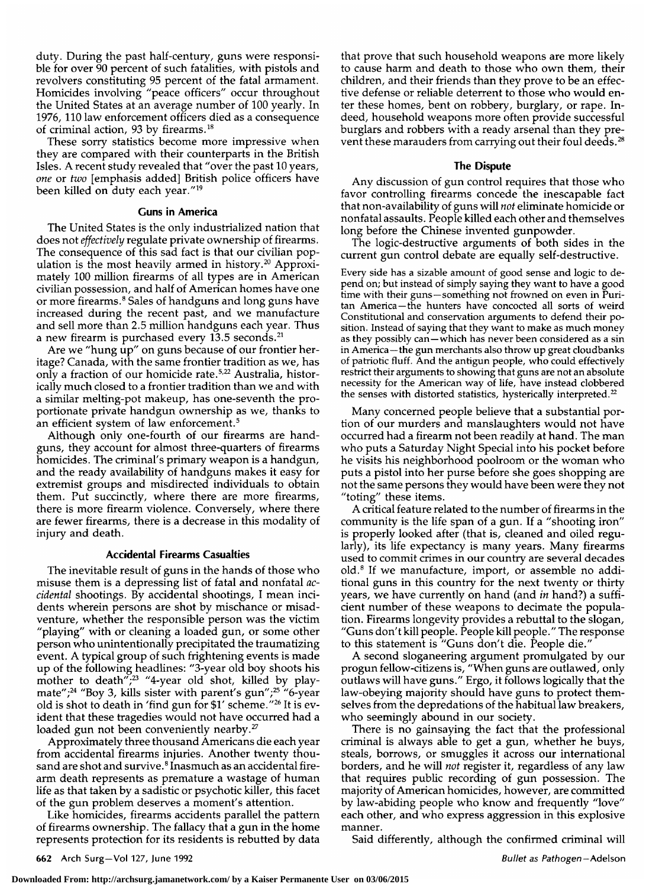duty. During the past half-century, guns were responsible for over <sup>90</sup> percent of such fatalities, with pistols and revolvers constituting <sup>95</sup> percent of the fatal armament. Homicides involving "peace officers" occur throughout the United States at an average number of <sup>100</sup> yearly. In 1976, <sup>110</sup> law enforcement officers died as <sup>a</sup> consequence of criminal action, 93 by firearms.<sup>18</sup>

These sorry statistics become more impressive when they are compared with their counterparts in the British Isles. A recent study revealed that "over the past <sup>10</sup> years, one or two [emphasis added] British police officers have been killed on duty each year."19

### Guns in America

The United States is the only industrialized nation that does not effectively regulate private ownership of firearms. The consequence of this sad fact is that our civilian population is the most heavily armed in history.<sup>20</sup> Approximately <sup>100</sup> million firearms of all types are in American civilian possession, and half of American homes have one or more firearms.<sup>8</sup> Sales of handguns and long guns have increased during the recent past, and we manufacture and sell more than 2.5 million handguns each year. Thus a new firearm is purchased every 13.5 seconds.<sup>21</sup>

Are we "hung up" on guns because of our frontier heritage? Canada, with the same frontier tradition as we, has only a fraction of our homicide rate.<sup>5,22</sup> Australia, historically much closed to <sup>a</sup> frontier tradition than we and with a similar melting-pot makeup, has one-seventh the proportionate private handgun ownership as we, thanks to an efficient system of law enforcement.<sup>5</sup>

Although only one-fourth of our firearms are handguns, they account for almost three-quarters of firearms homicides. The criminal's primary weapon is <sup>a</sup> handgun, and the ready availability of handguns makes it easy for extremist groups and misdirected individuals to obtain them. Put succinctly, where there are more firearms, there is more firearm violence. Conversely, where there are fewer firearms, there is <sup>a</sup> decrease in this modality of injury and death.

## Accidental Firearms Casualties

The inevitable result of guns in the hands of those who misuse them is a depressing list of fatal and nonfatal accidental shootings. By accidental shootings, I mean incidents wherein persons are shot by mischance or misadventure, whether the responsible person was the victim "playing" with or cleaning <sup>a</sup> loaded gun, or some other person who unintentionally precipitated the traumatizing event. A typical group of such frightening events is made up of the following headlines: "3-year old boy shoots his mother to death";<sup>23</sup> "4-year old shot, killed by playmate";<sup>24</sup> "Boy 3, kills sister with parent's gun";<sup>25</sup> "6-year old is shot to death in 'find gun for \$1' scheme."<sup>26</sup> It is evident that these tragedies would not have occurred had <sup>a</sup> loaded gun not been conveniently nearby.<sup>27</sup>

Approximately three thousand Americans die each year from accidental firearms injuries. Another twenty thousand are shot and survive.<sup>8</sup> Inasmuch as an accidental firearm death represents as premature <sup>a</sup> wastage of human life as that taken by <sup>a</sup> sadistic or psychotic killer, this facet of the gun problem deserves <sup>a</sup> moment's attention.

Like homicides, firearms accidents parallel the pattern of firearms ownership. The fallacy that <sup>a</sup> gun in the home represents protection for its residents is rebutted by data

that prove that such household weapons are more likely to cause harm and death to those who own them, their children, and their friends than they prove to be an effective defense or reliable deterrent to those who would en ter these homes, bent on robbery, burglary, or rape. Indeed, household weapons more often provide successful burglars and robbers with a ready arsenal than they prevent these marauders from carrying out their foul deeds.<sup>28</sup>

### The Dispute

Any discussion of gun control requires that those who favor controlling firearms concede the inescapable fact that non-availability of guns will not eliminate homicide or nonfatal assaults. People killed each other and themselves long before the Chinese invented gunpowder.

The logic-destructive arguments of both sides in the current gun control debate are equally self-destructive.

Every side has a sizable amount of good sense and logic to depend on; but instead of simply saying they want to have <sup>a</sup> good time with their guns—something not frowned on even in Puritan America —the hunters have concocted all sorts of weird Constitutional and conservation arguments to defend their position. Instead of saying that they want to make as much money as they possibly can—which has never been considered as <sup>a</sup> sin in America —the gun merchants also throw up great cloudbanks of patriotic fluff. And the antigun people, who could effectively restrict their arguments to showing that guns are not an absolute necessity for the American way of life, have instead clobbered the senses with distorted statistics, hysterically interpreted.<sup>22</sup>

Many concerned people believe that a substantial portion of our murders and manslaughters would not have occurred had <sup>a</sup> firearm not been readily at hand. The man who puts <sup>a</sup> Saturday Night Special into his pocket before he visits his neighborhood poolroom or the woman who puts <sup>a</sup> pistol into her purse before she goes shopping are not the same persons they would have been were they not "toting" these items.

A critical feature related to the number of firearms in the community is the life span of <sup>a</sup> gun. If <sup>a</sup> "shooting iron" is properly looked after (that is, cleaned and oiled regularly), its life expectancy is many years. Many firearms used to commit crimes in our country are several decades old. $8$  If we manufacture, import, or assemble no additional guns in this country for the next twenty or thirty years, we have currently on hand (and in hand?) a sufficient number of these weapons to decimate the population. Firearms longevity provides <sup>a</sup> rebuttal to the slogan, "Guns don't kill people. People kill people." The response to this statement is "Guns don't die. People die."

A second sloganeering argument promulgated by our progun fellow-citizens is, "When guns are outlawed, only outlaws will have guns." Ergo, it follows logically that the law-obeying majority should have guns to protect themselves from the depredations of the habitual law breakers, who seemingly abound in our society.

There is no gainsaying the fact that the professional criminal is always able to get <sup>a</sup> gun, whether he buys, steals, borrows, or smuggles it across our international borders, and he will not register it, regardless of any law that requires public recording of gun possession. The majority of American homicides, however, are committed by law-abiding people who know and frequently "love" each other, and who express aggression in this explosive manner.

Said differently, although the confirmed criminal will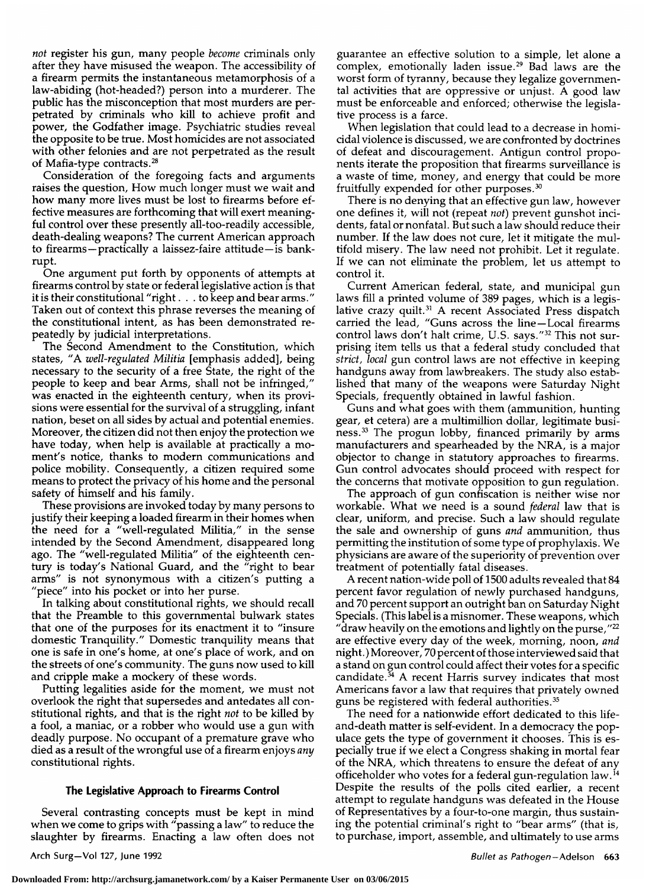not register his gun, many people become criminals only after they have misused the weapon. The accessibility of <sup>a</sup> firearm permits the instantaneous metamorphosis of <sup>a</sup> law-abiding (hot-headed?) person into <sup>a</sup> murderer. The public has the misconception that most murders are perpetrated by criminals who kill to achieve profit and power, the Godfather image. Psychiatric studies reveal the opposite to be true. Most homicides are not associated with other felonies and are not perpetrated as the result of Mafia-type contracts.28

Consideration of the foregoing facts and arguments raises the question, How much longer must we wait and how many more lives must be lost to firearms before effective measures are forthcoming that will exert meaningful control over these presently all-too-readily accessible, death-dealing weapons? The current American approach to firearms—practically <sup>a</sup> laissez-faire attitude—is bank rupt.

One argument put forth by opponents of attempts at firearms control by state or federal legislative action is that it is their constitutional "right. to keep and bear arms." Taken out of context this phrase reverses the meaning of the constitutional intent, as has been demonstrated repeatedly by judicial interpretations.

The Second Amendment to the Constitution, which states, "A well-regulated Militia [emphasis added], being necessary to the security of <sup>a</sup> free State, the right of the people to keep and bear Arms, shall not be infringed," was enacted in the eighteenth century, when its provisions were essential for the survival of <sup>a</sup> struggling, infant nation, beset on all sides by actual and potential enemies. Moreover, the citizen did not then enjoy the protection we have today, when help is available at practically a moment's notice, thanks to modern communications and police mobility. Consequently, <sup>a</sup> citizen required some means to protect the privacy of his home and the personal safety of himself and his family.

These provisions are invoked today by many persons to justify their keeping <sup>a</sup> loaded firearm in their homes when the need for a "well-regulated Militia," in the sense intended by the Second Amendment, disappeared long ago. The "well-regulated Militia" of the eighteenth century is today's National Guard, and the "right to bear arms" is not synonymous with <sup>a</sup> citizen's putting <sup>a</sup> 'piece" into his pocket or into her purse.

In talking about constitutional rights, we should recall that the Preamble to this governmental bulwark states that one of the purposes for its enactment it to "insure domestic Tranquility." Domestic tranquility means that one is safe in one's home, at one's place of work, and on the streets of one's community. The guns now used to kill and cripple make <sup>a</sup> mockery of these words.

Putting legalities aside for the moment, we must not overlook the right that supersedes and antedates all constitutional rights, and that is the right *not* to be killed by <sup>a</sup> fool, <sup>a</sup> maniac, or <sup>a</sup> robber who would use <sup>a</sup> gun with deadly purpose. No occupant of <sup>a</sup> premature grave who died as <sup>a</sup> result of the wrongful use of <sup>a</sup> firearm enjoys any constitutional rights.

# The Legislative Approach to Firearms Control

Several contrasting concepts must be kept in mind when we come to grips with "passing <sup>a</sup> law" to reduce the slaughter by firearms. Enacting <sup>a</sup> law often does not guarantee an effective solution to <sup>a</sup> simple, let alone <sup>a</sup> complex, emotionally laden issue.29 Bad laws are the worst form of tyranny, because they legalize governmental activities that are oppressive or unjust. A good law must be enforceable and enforced; otherwise the legislative process is <sup>a</sup> farce.

When legislation that could lead to a decrease in homicidal violence is discussed, we are confronted by doctrines of defeat and discouragement. Antigun control proponents iterate the proposition that firearms surveillance is <sup>a</sup> waste of time, money, and energy that could be more fruitfully expended for other purposes.30

There is no denying that an effective gun law, however one defines it, will not (repeat *not*) prevent gunshot incidents, fatal or nonfatal. But such <sup>a</sup> law should reduce their number. If the law does not cure, let it mitigate the multifold misery. The law need not prohibit. Let it regulate. If we can not eliminate the problem, let us attempt to control it.

Current American federal, state, and municipal gun laws fill a printed volume of 389 pages, which is a legis-<br>lative crazy quilt.<sup>31</sup> A recent Associated Press dispatch lative crazy quilt.<sup>31</sup> A recent Associated Press dispatch<br>carried the lead, "Guns across the line—Local firearms control laws don't halt crime, U.S. says."<sup>32</sup> This not surprising item tells us that <sup>a</sup> federal study concluded that strict, local gun control laws are not effective in keeping handguns away from lawbreakers. The study also established that many of the weapons were Saturday Night Specials, frequently obtained in lawful fashion.

Guns and what goes with them (ammunition, hunting gear, et cetera) are a multimillion dollar, legitimate business.33 The progun lobby, financed primarily by arms manufacturers and spearheaded by the NRA, is <sup>a</sup> major objector to change in statutory approaches to firearms. Gun control advocates should proceed with respect for the concerns that motivate opposition to gun regulation. The approach of gun confiscation is neither wise nor

workable. What we need is a sound *federal* law that is clear, uniform, and precise. Such a law should regulate the sale and ownership of guns *and* ammunition, thus permitting the institution of some type of prophylaxis. We physicians are aware of the superiority of prevention over treatment of potentially fatal diseases.

A recent nation-wide poll of <sup>1500</sup> adults revealed that <sup>84</sup> percent favor regulation of newly purchased handguns,<br>and 70 percent support an outright ban on Saturday Night Specials. (This label is <sup>a</sup> misnomer. These weapons, which "draw heavily on the emotions and lightly on the purse,  $"^{22}$ are effective every day of the week, morning, noon, and night. ) Moreover, <sup>70</sup> percent of those interviewed said that <sup>a</sup> stand on gun control could affect their votes for <sup>a</sup> specific candidate.<sup>34</sup> A recent Harris survey indicates that most Americans favor <sup>a</sup> law that requires that privately owned guns be registered with federal authorities.<sup>35</sup>

The need for <sup>a</sup> nationwide effort dedicated to this lifeand-death matter is self-evident. In a democracy the populace gets the type of government it chooses. This is especially true if we elect <sup>a</sup> Congress shaking in mortal fear of the NRA, which threatens to ensure the defeat of any officeholder who votes for <sup>a</sup> federal gun-regulation law.14 Despite the results of the polls cited earlier, <sup>a</sup> recent attempt to regulate handguns was defeated in the House of Representatives by a four-to-one margin, thus sustaining the potential criminal's right to "bear arms" (that is, to purchase, import, assemble, and ultimately to use arms

Arch Surg-Vol 127, June 1992